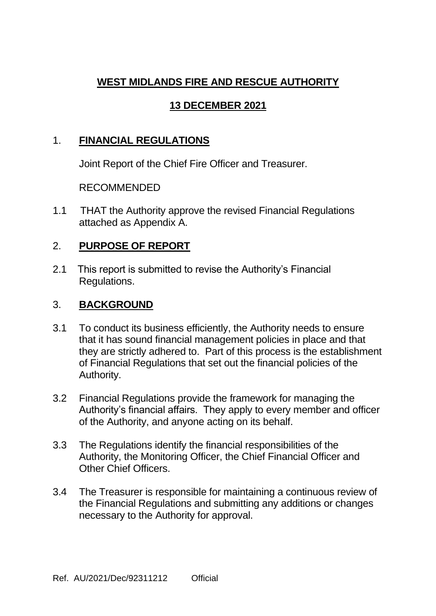# **WEST MIDLANDS FIRE AND RESCUE AUTHORITY**

## **13 DECEMBER 2021**

#### 1. **FINANCIAL REGULATIONS**

Joint Report of the Chief Fire Officer and Treasurer.

#### RECOMMENDED

1.1 THAT the Authority approve the revised Financial Regulations attached as Appendix A.

#### 2. **PURPOSE OF REPORT**

2.1 This report is submitted to revise the Authority's Financial Regulations.

#### 3. **BACKGROUND**

- 3.1 To conduct its business efficiently, the Authority needs to ensure that it has sound financial management policies in place and that they are strictly adhered to. Part of this process is the establishment of Financial Regulations that set out the financial policies of the Authority.
- 3.2 Financial Regulations provide the framework for managing the Authority's financial affairs. They apply to every member and officer of the Authority, and anyone acting on its behalf.
- 3.3 The Regulations identify the financial responsibilities of the Authority, the Monitoring Officer, the Chief Financial Officer and Other Chief Officers.
- 3.4 The Treasurer is responsible for maintaining a continuous review of the Financial Regulations and submitting any additions or changes necessary to the Authority for approval.